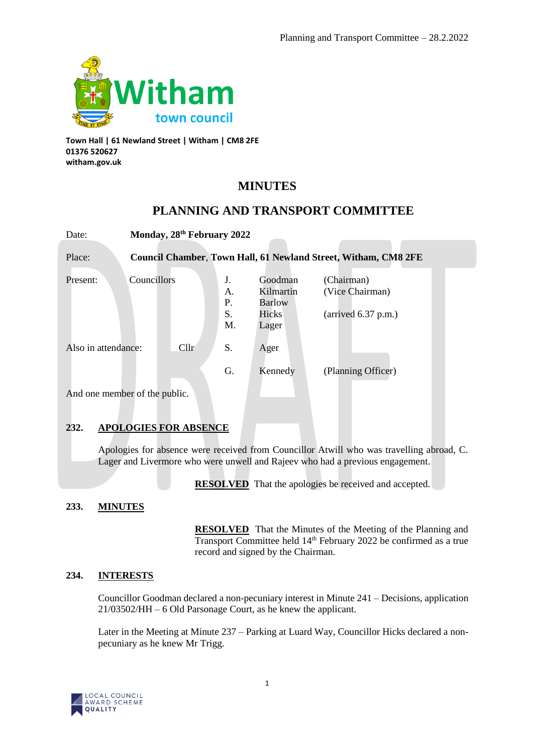

**Town Hall | 61 Newland Street | Witham | CM8 2FE 01376 520627 witham.gov.uk**

# **MINUTES**

# **PLANNING AND TRANSPORT COMMITTEE**

| Date:                                  | Monday, 28th February 2022 |                            |                                                         |                                                                        |  |  |
|----------------------------------------|----------------------------|----------------------------|---------------------------------------------------------|------------------------------------------------------------------------|--|--|
| Place:                                 |                            |                            |                                                         | Council Chamber, Town Hall, 61 Newland Street, Witham, CM8 2FE         |  |  |
| Present:                               | Councillors                | J.<br>А.<br>P.<br>S.<br>M. | Goodman<br>Kilmartin<br><b>Barlow</b><br>Hicks<br>Lager | (Chairman)<br>(Vice Chairman)<br>$\text{(arrived } 6.37 \text{ p.m.})$ |  |  |
| Cl <sub>1</sub><br>Also in attendance: |                            | S.                         | Ager                                                    |                                                                        |  |  |
|                                        |                            | G.                         | Kennedy                                                 | (Planning Officer)                                                     |  |  |
| And one member of the public.          |                            |                            |                                                         |                                                                        |  |  |

# **232. APOLOGIES FOR ABSENCE**

Apologies for absence were received from Councillor Atwill who was travelling abroad, C. Lager and Livermore who were unwell and Rajeev who had a previous engagement.

**RESOLVED** That the apologies be received and accepted.

# **233. MINUTES**

**RESOLVED** That the Minutes of the Meeting of the Planning and Transport Committee held 14<sup>th</sup> February 2022 be confirmed as a true record and signed by the Chairman.

# **234. INTERESTS**

Councillor Goodman declared a non-pecuniary interest in Minute 241 – Decisions, application 21/03502/HH – 6 Old Parsonage Court, as he knew the applicant.

Later in the Meeting at Minute 237 – Parking at Luard Way, Councillor Hicks declared a nonpecuniary as he knew Mr Trigg.

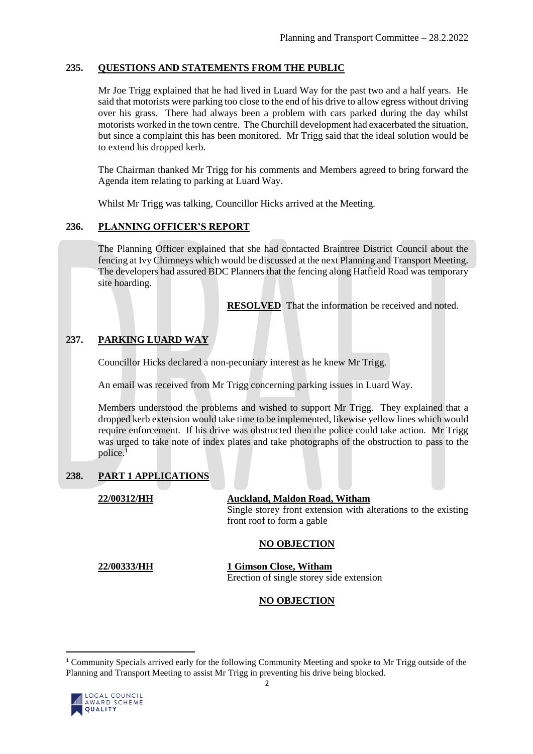# **235. QUESTIONS AND STATEMENTS FROM THE PUBLIC**

Mr Joe Trigg explained that he had lived in Luard Way for the past two and a half years. He said that motorists were parking too close to the end of his drive to allow egress without driving over his grass. There had always been a problem with cars parked during the day whilst motorists worked in the town centre. The Churchill development had exacerbated the situation, but since a complaint this has been monitored. Mr Trigg said that the ideal solution would be to extend his dropped kerb.

The Chairman thanked Mr Trigg for his comments and Members agreed to bring forward the Agenda item relating to parking at Luard Way.

Whilst Mr Trigg was talking, Councillor Hicks arrived at the Meeting.

# **236. PLANNING OFFICER'S REPORT**

The Planning Officer explained that she had contacted Braintree District Council about the fencing at Ivy Chimneys which would be discussed at the next Planning and Transport Meeting. The developers had assured BDC Planners that the fencing along Hatfield Road was temporary site hoarding.

**RESOLVED** That the information be received and noted.

# **237. PARKING LUARD WAY**

Councillor Hicks declared a non-pecuniary interest as he knew Mr Trigg.

An email was received from Mr Trigg concerning parking issues in Luard Way.

Members understood the problems and wished to support Mr Trigg. They explained that a dropped kerb extension would take time to be implemented, likewise yellow lines which would require enforcement. If his drive was obstructed then the police could take action. Mr Trigg was urged to take note of index plates and take photographs of the obstruction to pass to the police.<sup>1</sup>

### **238. PART 1 APPLICATIONS**

### **22/00312/HH Auckland, Maldon Road, Witham**

Single storey front extension with alterations to the existing front roof to form a gable

# **NO OBJECTION**

**22/00333/HH 1 Gimson Close, Witham** Erection of single storey side extension

# **NO OBJECTION**

<sup>1</sup> Community Specials arrived early for the following Community Meeting and spoke to Mr Trigg outside of the Planning and Transport Meeting to assist Mr Trigg in preventing his drive being blocked.



 $\overline{a}$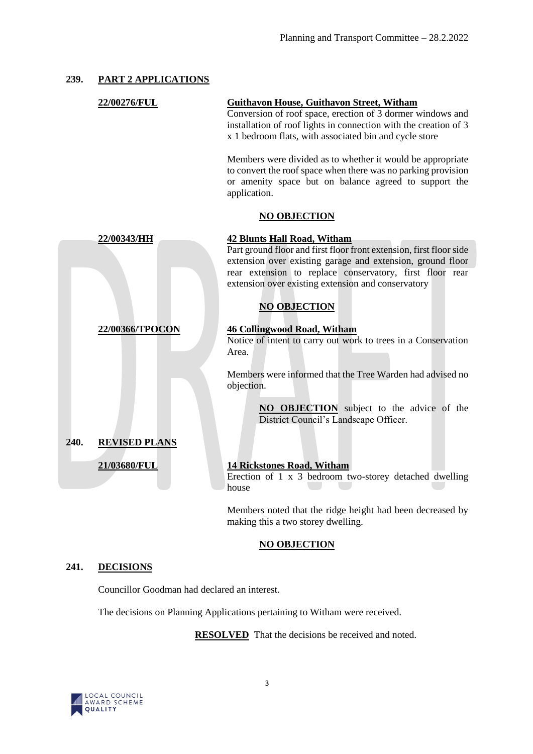### **239. PART 2 APPLICATIONS**

|      | 22/00276/FUL         | <b>Guithavon House, Guithavon Street, Witham</b><br>Conversion of roof space, erection of 3 dormer windows and<br>installation of roof lights in connection with the creation of 3<br>x 1 bedroom flats, with associated bin and cycle store                                                                     |
|------|----------------------|------------------------------------------------------------------------------------------------------------------------------------------------------------------------------------------------------------------------------------------------------------------------------------------------------------------|
|      |                      | Members were divided as to whether it would be appropriate<br>to convert the roof space when there was no parking provision<br>or amenity space but on balance agreed to support the<br>application.                                                                                                             |
|      |                      | <b>NO OBJECTION</b>                                                                                                                                                                                                                                                                                              |
|      | 22/00343/HH          | <b>42 Blunts Hall Road, Witham</b><br>Part ground floor and first floor front extension, first floor side<br>extension over existing garage and extension, ground floor<br>rear extension to replace conservatory, first floor rear<br>extension over existing extension and conservatory<br><b>NO OBJECTION</b> |
|      | 22/00366/TPOCON      | <b>46 Collingwood Road, Witham</b><br>Notice of intent to carry out work to trees in a Conservation<br>Area.                                                                                                                                                                                                     |
|      |                      | Members were informed that the Tree Warden had advised no<br>objection.                                                                                                                                                                                                                                          |
|      |                      | <b>NO OBJECTION</b> subject to the advice of the<br>District Council's Landscape Officer.                                                                                                                                                                                                                        |
| 240. | <b>REVISED PLANS</b> |                                                                                                                                                                                                                                                                                                                  |
|      | 21/03680/FUL         | <b>14 Rickstones Road, Witham</b><br>Erection of 1 x 3 bedroom two-storey detached dwelling<br>house                                                                                                                                                                                                             |
|      |                      | Members noted that the ridge height had been decreased by<br>making this a two storey dwelling.                                                                                                                                                                                                                  |

### **NO OBJECTION**

### **241. DECISIONS**

Councillor Goodman had declared an interest.

The decisions on Planning Applications pertaining to Witham were received.

**RESOLVED** That the decisions be received and noted.